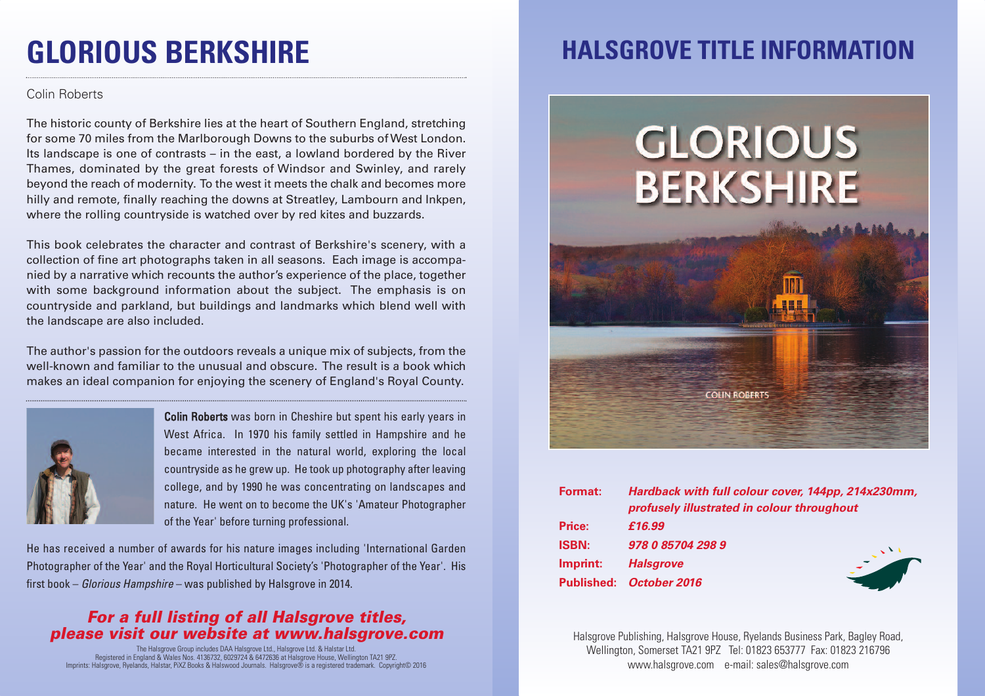## **GLORIOUS BERKSHIRE**

#### Colin Roberts

The historic county of Berkshire lies at the heart of Southern England, stretching for some 70 miles from the Marlborough Downs to the suburbs ofWest London. Its landscape is one of contrasts – in the east, a lowland bordered by the River Thames, dominated by the great forests of Windsor and Swinley, and rarely beyond the reach of modernity. To the west it meets the chalk and becomes more hilly and remote, finally reaching the downs at Streatley, Lambourn and Inkpen, where the rolling countryside is watched over by red kites and buzzards.

This book celebrates the character and contrast of Berkshire's scenery, with a collection of fine art photographs taken in all seasons. Each image is accompanied by a narrative which recounts the author's experience of the place, together with some background information about the subject. The emphasis is on countryside and parkland, but buildings and landmarks which blend well with the landscape are also included.

The author's passion for the outdoors reveals a unique mix of subjects, from the well-known and familiar to the unusual and obscure. The result is a book which makes an ideal companion for enjoying the scenery of England's Royal County.



Colin Roberts was born in Cheshire but spent his early years in West Africa. In 1970 his family settled in Hampshire and he became interested in the natural world, exploring the local countryside as he grew up. He took up photography after leaving college, and by 1990 he was concentrating on landscapes and nature. He went on to become the UK's 'Amateur Photographer of the Year' before turning professional.

He has received a number of awards for his nature images including 'International Garden Photographer of the Year' and the Royal Horticultural Society's 'Photographer of the Year'. His first book – *Glorious Hampshire* – was published by Halsgrove in 2014.

#### *For a full listing of all Halsgrove titles, please visit our website at www.halsgrove.com*

The Halsgrove Group includes DAA Halsgrove Ltd., Halsgrove Ltd. & Halstar Ltd.<br>Registered in England & Wales Nos. 4 136732, 6029724 & 6472636 at Halsgrove House, Wellington TA21 9PZ.<br>Imprints: Halsgrove, Ryelands, Halstar

### **HALSGROVE TITLE INFORMATION**

# GLORIOUS **BERKSHIRE**



| Format:      | Hardback with full colour cover, 144pp, 214x230mm,<br>profusely illustrated in colour throughout |
|--------------|--------------------------------------------------------------------------------------------------|
| Price:       | £16.99                                                                                           |
| <b>ISBN:</b> | 978 0 85704 298 9                                                                                |
| Imprint:     | <b>Halsgrove</b>                                                                                 |
|              | Published: October 2016                                                                          |

Halsgrove Publishing, Halsgrove House, Ryelands Business Park, Bagley Road, Wellington, Somerset TA21 9PZ Tel: 01823 653777 Fax: 01823 216796 www.halsgrove.com e-mail: sales@halsgrove.com